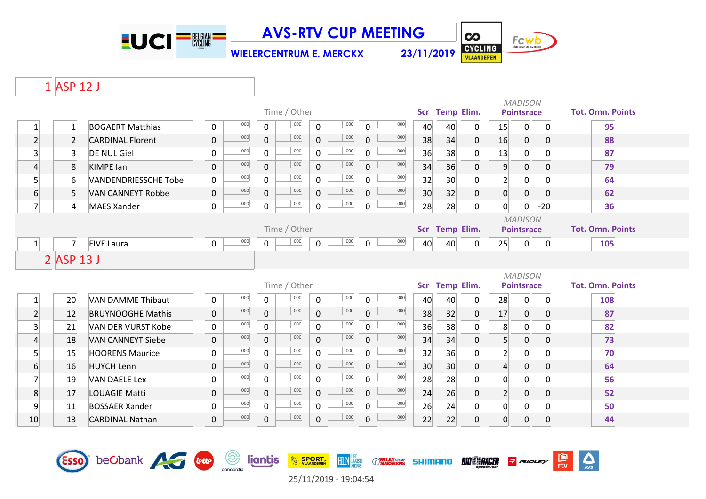

**WIELERCENTRUM E. MERCKX 23/11/2019**



 $\sum_{\text{AVS}}$ 

믮

 $\overline{\mathbf{c}}$ 

### ASP 12 J

|                         |                  |                             |                |            |                | Time / Other |                     |                    |              |            | Scr Temp Elim. |                 |                |                | <b>MADISON</b><br><b>Pointsrace</b> |                | <b>Tot. Omn. Points</b> |
|-------------------------|------------------|-----------------------------|----------------|------------|----------------|--------------|---------------------|--------------------|--------------|------------|----------------|-----------------|----------------|----------------|-------------------------------------|----------------|-------------------------|
| $\mathbf{1}$            | $\mathbf{1}$     | <b>BOGAERT Matthias</b>     | $\mathbf 0$    | 000        | $\mathsf{O}$   | 000          | $\mathbf 0$         | 000                | $\mathsf{O}$ | 000        | 40             | 40              | 0              | 15             | 0                                   | 0              | 95                      |
| $\overline{2}$          | $\overline{2}$   | <b>CARDINAL Florent</b>     | $\mathsf{O}$   | 000        | $\mathsf{O}$   | 000          | $\mathbf 0$         | 000                | $\mathbf{0}$ | 000        | 38             | 34              | 0              | 16             | $\overline{0}$                      | $\overline{0}$ | 88                      |
| $\overline{3}$          | $\overline{3}$   | <b>DE NUL Giel</b>          | 0              | 000        | $\mathsf{O}$   | 000          | $\mathbf 0$         | 000                | $\mathbf 0$  | 000        | 36             | 38              | $\mathbf{0}$   | 13             | $\overline{0}$                      |                | 87                      |
| $\overline{4}$          | 8                | <b>KIMPE</b> lan            | 0              | 000        | $\mathbf 0$    | 000          | $\mathbf 0$         | 000                | $\mathbf 0$  | 000        | 34             | 36              | $\mathbf 0$    | 9              | $\overline{0}$                      | $\Omega$       | 79                      |
| $\overline{5}$          | $6 \overline{6}$ | <b>VANDENDRIESSCHE Tobe</b> | $\overline{0}$ | 000        | $\mathsf{O}$   | 000          | $\mathbf 0$         | 000                | $\mathbf 0$  | 000        | 32             | 30 <sup>°</sup> | $\mathbf 0$    | $\overline{2}$ | $\overline{0}$                      | $\Omega$       | 64                      |
| 6                       | 5 <sup>1</sup>   | <b>VAN CANNEYT Robbe</b>    | $\mathbf 0$    | 000        | $\overline{0}$ | 000          | $\mathbf 0$         | 000                | $\mathbf 0$  | 000        | 30             | 32              | $\overline{0}$ | $\overline{0}$ | $\overline{0}$                      | $\overline{0}$ | 62                      |
| $\overline{7}$          | $\overline{4}$   | <b>MAES Xander</b>          | 0              | 000        | $\mathsf{O}$   | 000          | $\mathbf 0$         | 000                | $\mathbf 0$  | 000        | 28             | 28              | 0              | $\overline{0}$ | 0                                   | $-20$          | 36                      |
|                         |                  |                             |                |            |                | Time / Other |                     |                    |              |            |                | Scr Temp Elim.  |                |                | <b>MADISON</b><br><b>Pointsrace</b> |                | <b>Tot. Omn. Points</b> |
| $1\overline{ }$         | $\overline{7}$   | <b>FIVE Laura</b>           | $\mathbf 0$    | 000        | $\mathbf 0$    | 000          | $\mathsf{O}\xspace$ | 000                | $\mathbf 0$  | 000        | 40             | 40              | $\mathbf 0$    | 25             | 0                                   | $\overline{0}$ | 105                     |
|                         | $2$ ASP 13 J     |                             |                |            |                |              |                     |                    |              |            |                |                 |                |                |                                     |                |                         |
|                         |                  |                             |                |            |                |              |                     |                    |              |            |                |                 |                |                |                                     |                |                         |
|                         |                  |                             |                |            |                |              |                     |                    |              |            |                |                 |                |                |                                     |                |                         |
|                         |                  |                             |                |            |                | Time / Other |                     |                    |              |            | <b>Scr</b>     | Temp Elim.      |                |                | <b>MADISON</b><br><b>Pointsrace</b> |                | <b>Tot. Omn. Points</b> |
| $\mathbf{1}$            | 20               | <b>VAN DAMME Thibaut</b>    | 0              | 000        | 0              | 000          | $\mathbf 0$         | $000\,$            | $\mathbf 0$  | 000        | 40             | 40              | 0              | 28             | 0                                   | 0              | 108                     |
| $\overline{2}$          | 12               | <b>BRUYNOOGHE Mathis</b>    | $\mathbf 0$    | 000        | $\overline{0}$ | 000          | $\mathbf{0}$        | 000                | $\mathbf 0$  | 000        | 38             | 32              | $\overline{0}$ | 17             | 0                                   | $\overline{0}$ | 87                      |
| $\overline{\mathbf{3}}$ | 21               | VAN DER VURST Kobe          | 0              | 000        | $\mathsf{O}$   | 000          | $\Omega$            | 000                | $\Omega$     | 000        | 36             | 38              | $\mathbf{0}$   | 8              | 0                                   | $\Omega$       | 82                      |
| $\overline{4}$          | 18               | <b>VAN CANNEYT Siebe</b>    | $\overline{0}$ | 000        | $\overline{0}$ | 000          | $\mathbf{0}$        | 000                | $\mathbf 0$  | 000        | 34             | 34              | $\overline{0}$ | $\mathsf{S}$   | $\mathsf{o}$                        | $\Omega$       | 73                      |
| $\overline{5}$          | 15               | <b>HOORENS Maurice</b>      | 0              | 000        | $\mathsf{O}$   | 000          | $\mathbf 0$         | $000\,$            | $\mathsf{O}$ | 000        | 32             | 36              | $\mathbf 0$    | 2 <sup>1</sup> | 0                                   | $\Omega$       | 70                      |
| 6                       | 16               | <b>HUYCH Lenn</b>           | $\mathsf{O}$   | 000        | $\mathsf{O}$   | 000          | $\mathbf 0$         | 000                | $\mathbf 0$  | 000        | 30             | 30 <sup>°</sup> | $\overline{0}$ | $\overline{4}$ | $\overline{0}$                      | $\overline{0}$ | 64                      |
| $\overline{7}$          | 19               | <b>VAN DAELE Lex</b>        | 0              | 000        | 0              | 000          | $\mathbf 0$         | $000\,$            | $\mathbf 0$  | 000        | 28             | 28              | $\mathbf 0$    | $\overline{0}$ | 0                                   | $\Omega$       | 56                      |
| 8                       | 17               | LOUAGIE Matti               | $\mathsf{O}$   | 000        | 0              | 000          | $\mathbf 0$         | 000                | $\mathbf 0$  | 000        | 24             | 26              | $\mathbf 0$    | 2 <sup>1</sup> | $\overline{0}$                      | $\overline{0}$ | 52                      |
| 9                       | 11               | <b>BOSSAER Xander</b>       | 0              | 000<br>000 | $\mathsf{O}$   | 000<br>000   | $\mathbf 0$         | ${\bf 000}$<br>000 | $\mathsf{O}$ | 000<br>000 | 26             | 24              | $\pmb{0}$      | $\overline{0}$ | $\mathsf{O}$                        | $\overline{0}$ | 50                      |



25/11/2019 - 19:04:54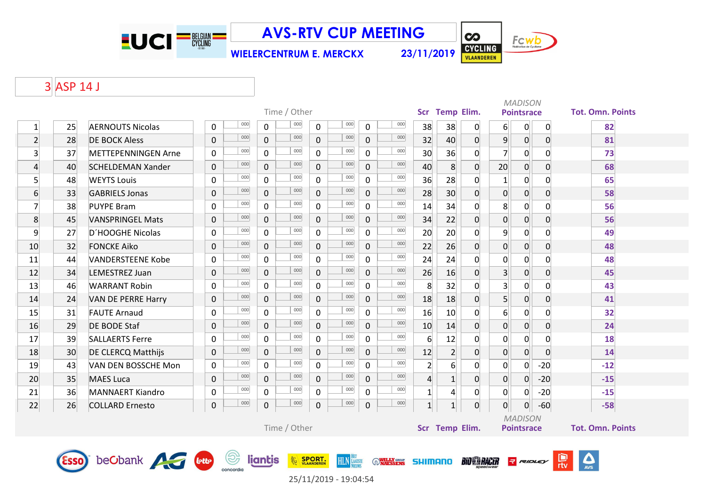

**WIELERCENTRUM E. MERCKX 23/11/2019**



 $| \boldsymbol{\infty} |$ 

# 3 ASP 14 J

|                 | Time / Other |                                    |              |     |                |              |                             |                  |                |                    |                 |                  | <b>MADISON</b><br>Scr Temp Elim.<br><b>Pointsrace</b><br><b>Tot. Omn. Points</b> |                  |                   |                |                            |  |  |
|-----------------|--------------|------------------------------------|--------------|-----|----------------|--------------|-----------------------------|------------------|----------------|--------------------|-----------------|------------------|----------------------------------------------------------------------------------|------------------|-------------------|----------------|----------------------------|--|--|
| $\mathbf{1}$    | 25           | <b>AERNOUTS Nicolas</b>            | 0            | 000 | 0              | 000          | 0                           | 000              | 0              | 000                | 38              | 38               | $\overline{0}$                                                                   | $6 \overline{6}$ | $\overline{0}$    | $\overline{0}$ | 82                         |  |  |
| $\overline{2}$  | 28           | <b>DE BOCK Aless</b>               | $\pmb{0}$    | 000 | $\overline{0}$ | 000          | $\mathsf{O}$                | 000              | 0              | 000                | 32              | 40               | $\overline{0}$                                                                   | $\overline{9}$   | 0                 | $\overline{0}$ | 81                         |  |  |
| $\overline{3}$  | 37           | METTEPENNINGEN Arne                | 0            | 000 | $\mathbf 0$    | 000          | $\mathsf{O}$                | 000              | $\mathbf 0$    | 000                | 30              | 36               | $\overline{0}$                                                                   | $\overline{7}$   | 0                 | $\overline{0}$ | 73                         |  |  |
| $\overline{4}$  | 40           | <b>SCHELDEMAN Xander</b>           | $\mathbf 0$  | 000 | 0              | 000          | $\mathsf{O}$                | 000              | $\mathbf 0$    | 000                | 40              | 8 <sup>°</sup>   | $\overline{0}$                                                                   | 20               | 0                 | $\overline{0}$ | 68                         |  |  |
| $5\overline{)}$ | 48           | <b>WEYTS Louis</b>                 | 0            | 000 | $\mathbf 0$    | 000          | $\mathsf{O}$                | 000              | 0              | 000                | 36              | 28               | 0                                                                                | $\vert$ 1        | $\overline{0}$    | $\overline{0}$ | 65                         |  |  |
| 6               | 33           | <b>GABRIELS Jonas</b>              | $\mathbf 0$  | 000 | $\mathbf 0$    | 000          | $\mathbf 0$                 | 000              | 0              | 000                | 28              | 30 <sup>°</sup>  | $\mathbf{0}$                                                                     | $\mathbf 0$      | $\overline{0}$    | $\overline{0}$ | 58                         |  |  |
| $\overline{7}$  | 38           | <b>PUYPE Bram</b>                  | 0            | 000 | 0              | 000          | $\mathbf 0$                 | 000              | 0              | 000                | 14              | 34               | $\overline{0}$                                                                   | 8                | $\overline{0}$    | $\overline{0}$ | 56                         |  |  |
| 8               | 45           | <b>VANSPRINGEL Mats</b>            | $\mathbf 0$  | 000 | 0              | 000          | $\mathsf{O}$                | 000              | $\mathbf 0$    | 000                | 34              | 22               | $\overline{0}$                                                                   | $\mathbf 0$      | 0                 | $\overline{0}$ | 56                         |  |  |
| 9               | 27           | D'HOOGHE Nicolas                   | $\pmb{0}$    | 000 | $\mathbf 0$    | 000          | $\mathsf{O}$                | 000              | 0              | 000                | 20              | 20               | $\overline{0}$                                                                   | $\overline{9}$   | $\overline{0}$    | $\overline{0}$ | 49                         |  |  |
| 10              | 32           | <b>FONCKE Aiko</b>                 | $\mathbf{0}$ | 000 | $\overline{0}$ | 000          | $\overline{0}$              | 000              | $\mathbf{0}$   | 000                | 22              | 26               | 0                                                                                | $\overline{0}$   | $\overline{0}$    | $\overline{0}$ | 48                         |  |  |
| 11              | 44           | <b>VANDERSTEENE Kobe</b>           | 0            | 000 | $\mathbf 0$    | 000          | $\mathsf{O}$                | 000              | $\mathbf 0$    | 000                | 24              | 24               | 0                                                                                | $\mathbf 0$      | $\overline{0}$    | $\overline{0}$ | 48                         |  |  |
| 12              | 34           | LEMESTREZ Juan                     | $\pmb{0}$    | 000 | $\mathbf 0$    | 000          | $\mathbf 0$                 | 000              | 0              | 000                | 26              | 16               | $\overline{0}$                                                                   | 3 <sup>1</sup>   | 0                 | $\overline{0}$ | 45                         |  |  |
| 13              | 46           | <b>WARRANT Robin</b>               | $\Omega$     | 000 | $\Omega$       | 000          | $\mathbf 0$                 | 000              | $\Omega$       | 000                | 8               | 32               | $\overline{0}$                                                                   | 3 <sup>1</sup>   | $\mathbf 0$       | $\overline{0}$ | 43                         |  |  |
| 14              | 24           | VAN DE PERRE Harry                 | $\pmb{0}$    | 000 | 0              | 000          | $\mathsf{O}$                | 000              | 0              | 000                | 18              | 18               | $\overline{0}$                                                                   | 5 <sup>1</sup>   | 0                 | $\overline{0}$ | 41                         |  |  |
| 15              | 31           | <b>FAUTE Arnaud</b>                | 0            | 000 | $\mathsf 0$    | 000          | $\mathsf{O}$                | 000              | 0              | 000                | 16              | 10               | $\overline{0}$                                                                   | $6 \mid$         | $\overline{0}$    | $\overline{0}$ | 32                         |  |  |
| 16              | 29           | <b>DE BODE Staf</b>                | $\mathbf 0$  | 000 | $\overline{0}$ | 000          | $\overline{0}$              | 000              | $\overline{0}$ | 000                | 10              | 14               | $\overline{0}$                                                                   | $\overline{0}$   | 0                 | $\overline{0}$ | 24                         |  |  |
| 17              | 39           | <b>SALLAERTS Ferre</b>             | 0            | 000 | $\mathbf 0$    | 000          | $\mathbf 0$                 | 000              | $\mathbf 0$    | 000                | 6               | 12               | $\mathsf{O}$                                                                     | $\mathbf 0$      | $\mathbf 0$       | $\overline{0}$ | 18                         |  |  |
| 18              | 30           | <b>DE CLERCQ Matthijs</b>          | $\pmb{0}$    | 000 | $\mathbf 0$    | 000          | $\mathbf 0$                 | 000              | 0              | 000                | 12              | $\overline{2}$   | $\overline{0}$                                                                   | $\overline{0}$   | $\overline{0}$    | $\overline{0}$ | 14                         |  |  |
| 19              | 43           | VAN DEN BOSSCHE Mon                | 0            | 000 | $\mathbf 0$    | 000          | $\mathbf 0$                 | 000              | $\mathbf 0$    | 000                | $\overline{2}$  | $6 \overline{6}$ | $\overline{0}$                                                                   | $\mathbf 0$      | $\overline{0}$    | $-20$          | $-12$                      |  |  |
| 20              | 35           | <b>MAES Luca</b>                   | $\pmb{0}$    | 000 | 0              | 000          | $\mathsf{O}$                | 000              | 0              | 000                | $\overline{4}$  | $\mathbf{1}$     | $\overline{0}$                                                                   | $\overline{0}$   | 0                 | $-20$          | $-15$                      |  |  |
| 21              | 36           | <b>MANNAERT Kiandro</b>            | 0            | 000 | $\mathsf 0$    | 000          | 0                           | 000              | 0              | 000                | $\mathbf{1}$    | 4                | 0                                                                                | $\overline{0}$   | $\overline{0}$    | $-20$          | $-15$                      |  |  |
| 22              | 26           | <b>COLLARD Ernesto</b>             | $\pmb{0}$    | 000 | 0              | 000          | $\mathbf 0$                 | 000              | $\mathbf 0$    | 000                | $1\overline{ }$ | $\mathbf{1}$     | $\overline{0}$                                                                   | 0                | 0                 | $-60$          | $-58$                      |  |  |
|                 |              |                                    |              |     |                |              |                             |                  |                |                    |                 |                  |                                                                                  |                  | <b>MADISON</b>    |                |                            |  |  |
|                 |              |                                    |              |     |                | Time / Other |                             |                  |                |                    |                 | Scr Temp Elim.   |                                                                                  |                  | <b>Pointsrace</b> |                | <b>Tot. Omn. Points</b>    |  |  |
|                 |              |                                    |              |     |                |              |                             |                  |                |                    |                 |                  |                                                                                  |                  |                   |                |                            |  |  |
|                 |              | <b>Esso</b> beCbank <b>Algebra</b> |              | (Ş) | liantis        |              | <b>SPORT.</b><br>VLAANDEREN | <b>HLN</b> LANSE |                | <b>WILLY GROUP</b> | <b>SHIMANO</b>  |                  | <b>BIO SE RACER</b>                                                              |                  | <b>RIDLEY</b>     |                | $\sum_{\text{AVS}}$<br>rtv |  |  |

25/11/2019 - 19:04:54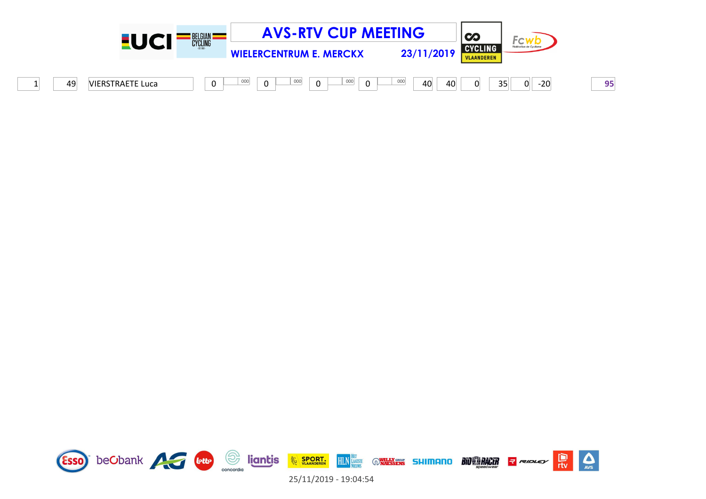

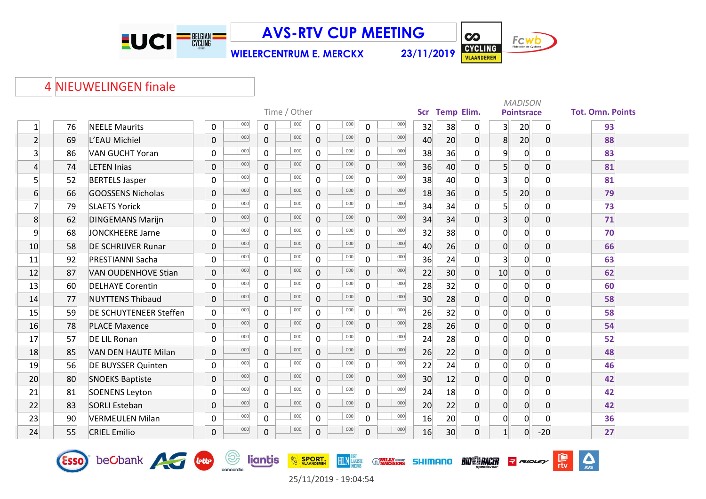

**WIELERCENTRUM E. MERCKX 23/11/2019**



 $\frac{D}{\pi v}$ 

 $RIDLEY$ 

**BIO®RACER** 

 $\sum_{\text{AVS}}$ 

#### 4 NIEUWELINGEN finale

Esso beCbank A Guy

|                         |    |                               |                    | Scr Temp Elim. |              |                |     | <b>MADISON</b>     |                 |                 |                |                |                   |                  |                         |
|-------------------------|----|-------------------------------|--------------------|----------------|--------------|----------------|-----|--------------------|-----------------|-----------------|----------------|----------------|-------------------|------------------|-------------------------|
|                         |    |                               |                    |                | Time / Other |                |     |                    |                 |                 |                |                | <b>Pointsrace</b> |                  | <b>Tot. Omn. Points</b> |
| $\mathbf{1}$            | 76 | <b>NEELE Maurits</b>          | 000<br>$\pmb{0}$   | 0              | 000          | 0              | 000 | 000<br>$\mathbf 0$ | 32              | 38              | $\overline{0}$ | $\overline{3}$ | 20                | $\mathbf 0$      | 93                      |
| $\overline{2}$          | 69 | L'EAU Michiel                 | 000<br>$\mathbf 0$ | $\overline{0}$ | 000          | $\overline{0}$ | 000 | 000<br>$\mathbf 0$ | 40              | 20              | 0              | 8              | 20                | $\overline{0}$   | 88                      |
| $\overline{\mathbf{3}}$ | 86 | VAN GUCHT Yoran               | 000<br>$\mathbf 0$ | $\mathbf 0$    | 000          | 0              | 000 | 000<br>$\mathbf 0$ | 38              | 36              | $\overline{0}$ | $\overline{9}$ | $\overline{0}$    | $\Omega$         | 83                      |
| $\vert 4 \vert$         | 74 | <b>LETEN Inias</b>            | 000<br>$\pmb{0}$   | $\mathbf 0$    | 000          | $\overline{0}$ | 000 | 000<br>$\mathbf 0$ | 36              | 40              | $\overline{0}$ | 5 <sup>1</sup> | $\overline{0}$    | $\overline{0}$   | 81                      |
| $\mathsf{s}$            | 52 | <b>BERTELS Jasper</b>         | 000<br>$\mathbf 0$ | $\mathbf 0$    | 000          | $\overline{0}$ | 000 | 000<br>$\mathbf 0$ | 38              | 40              | 0              | $\overline{3}$ | $\overline{0}$    | $\mathbf 0$      | 81                      |
| 6                       | 66 | GOOSSENS Nicholas             | 000<br>$\mathbf 0$ | $\mathbf 0$    | 000          | $\overline{0}$ | 000 | 000<br>$\mathbf 0$ | 18              | 36              | $\overline{0}$ | 5 <sup>1</sup> | 20                | $\boldsymbol{0}$ | 79                      |
| $\overline{7}$          | 79 | <b>SLAETS Yorick</b>          | 000<br>$\mathbf 0$ | $\overline{0}$ | 000          | $\overline{0}$ | 000 | 000<br>$\mathbf 0$ | 34              | 34              | 0              | $\overline{5}$ | $\overline{0}$    | 0                | 73                      |
| 8                       | 62 | <b>DINGEMANS Marijn</b>       | 000<br>$\mathbf 0$ | $\overline{0}$ | 000          | $\overline{0}$ | 000 | 000<br>$\mathbf 0$ | 34              | 34              | $\overline{0}$ | 3 <sup>1</sup> | $\overline{0}$    | $\overline{0}$   | 71                      |
| 9                       | 68 | <b>JONCKHEERE Jarne</b>       | 000<br>$\mathbf 0$ | $\mathbf 0$    | 000          | $\mathsf{O}$   | 000 | 000<br>$\mathbf 0$ | 32              | 38              | 0              | $\overline{0}$ | 0                 | $\mathbf 0$      | 70                      |
| 10                      | 58 | <b>DE SCHRIJVER Runar</b>     | 000<br>$\mathbf 0$ | $\mathbf 0$    | 000          | $\overline{0}$ | 000 | 000<br>$\mathbf 0$ | 40              | 26              | $\mathbf 0$    | $\overline{0}$ | $\overline{0}$    | $\boldsymbol{0}$ | 66                      |
| 11                      | 92 | <b>PRESTIANNI Sacha</b>       | 000<br>$\mathbf 0$ | $\mathbf 0$    | 000          | 0              | 000 | 000<br>$\mathbf 0$ | 36              | 24              | $\overline{0}$ | $\overline{3}$ | 0                 | $\mathbf 0$      | 63                      |
| 12                      | 87 | <b>VAN OUDENHOVE Stian</b>    | 000<br>$\mathbf 0$ | $\overline{0}$ | 000          | $\overline{0}$ | 000 | 000<br>$\mathbf 0$ | 22              | 30              | $\overline{0}$ | 10             | $\overline{0}$    | $\mathbf 0$      | 62                      |
| 13                      | 60 | <b>DELHAYE Corentin</b>       | 000<br>$\mathbf 0$ | $\mathsf{O}$   | 000          | 0              | 000 | 000<br>$\mathbf 0$ | 28              | 32              | $\overline{0}$ | $\overline{0}$ | 0                 | 0                | 60                      |
| 14                      | 77 | <b>NUYTTENS Thibaud</b>       | 000<br>$\pmb{0}$   | $\mathbf 0$    | 000          | $\overline{0}$ | 000 | 000<br>$\mathbf 0$ | 30 <sup>°</sup> | 28              | $\overline{0}$ | $\overline{0}$ | $\overline{0}$    | $\mathbf 0$      | 58                      |
| 15                      | 59 | <b>DE SCHUYTENEER Steffen</b> | 000<br>$\mathbf 0$ | 0              | 000          | $\mathsf{O}$   | 000 | 000<br>0           | 26              | 32              | $\mathbf 0$    | $\overline{0}$ | $\overline{0}$    | 0                | 58                      |
| 16                      | 78 | <b>PLACE Maxence</b>          | 000<br>$\mathbf 0$ | $\mathbf{0}$   | 000          | $\overline{0}$ | 000 | 000<br>$\mathbf 0$ | 28              | 26              | $\overline{0}$ | $\overline{0}$ | $\overline{0}$    | $\overline{0}$   | 54                      |
| 17                      | 57 | DE LIL Ronan                  | 000<br>$\mathbf 0$ | $\mathsf{O}$   | 000          | $\overline{0}$ | 000 | 000<br>$\mathbf 0$ | 24              | 28              | $\overline{0}$ | $\overline{0}$ | 0                 | 0                | 52                      |
| 18                      | 85 | VAN DEN HAUTE Milan           | 000<br>$\pmb{0}$   | $\mathbf 0$    | 000          | $\overline{0}$ | 000 | 000<br>$\mathbf 0$ | 26              | 22              | 0              | $\overline{0}$ | 0                 | $\mathbf 0$      | 48                      |
| 19                      | 56 | <b>DE BUYSSER Quinten</b>     | 000<br>$\mathbf 0$ | 0              | 000          | 0              | 000 | 000<br>$\mathbf 0$ | 22              | 24              | $\overline{0}$ | $\overline{0}$ | 0                 | $\overline{0}$   | 46                      |
| 20                      | 80 | <b>SNOEKS Baptiste</b>        | 000<br>$\mathsf 0$ | $\pmb{0}$      | 000          | 0              | 000 | 000<br>$\mathbf 0$ | 30 <sup>°</sup> | 12              | 0              | $\overline{0}$ | $\overline{0}$    | $\mathbf 0$      | 42                      |
| 21                      | 81 | <b>SOENENS Leyton</b>         | 000<br>$\mathbf 0$ | $\mathbf 0$    | 000          | 0              | 000 | 000<br>$\mathbf 0$ | 24              | 18              | 0              | $\mathbf 0$    | $\overline{0}$    | 0                | 42                      |
| 22                      | 83 | <b>SORLI Esteban</b>          | 000<br>$\mathbf 0$ | $\overline{0}$ | 000          | $\overline{0}$ | 000 | 000<br>$\mathbf 0$ | 20              | 22              | $\overline{0}$ | $\overline{0}$ | $\overline{0}$    | $\overline{0}$   | 42                      |
| 23                      | 90 | <b>VERMEULEN Milan</b>        | 000<br>$\mathbf 0$ | 0              | 000          | 0              | 000 | 000<br>$\mathbf 0$ | 16              | 20              | $\overline{0}$ | $\overline{0}$ | $\overline{0}$    | $\overline{0}$   | 36                      |
| 24                      | 55 | <b>CRIEL Emilio</b>           | 000<br>$\mathsf 0$ | $\pmb{0}$      | 000          | 0              | 000 | 000<br>$\pmb{0}$   | 16              | 30 <sup>°</sup> | $\overline{0}$ | $\mathbf 1$    | $\mathbf 0$       | $-20$            | 27                      |

25/11/2019 - 19:04:54

**HLN** LAATSTE

**WILLY SROWS** SHIMANO

**EXAMPLE SPORT.** 

**Son liantis**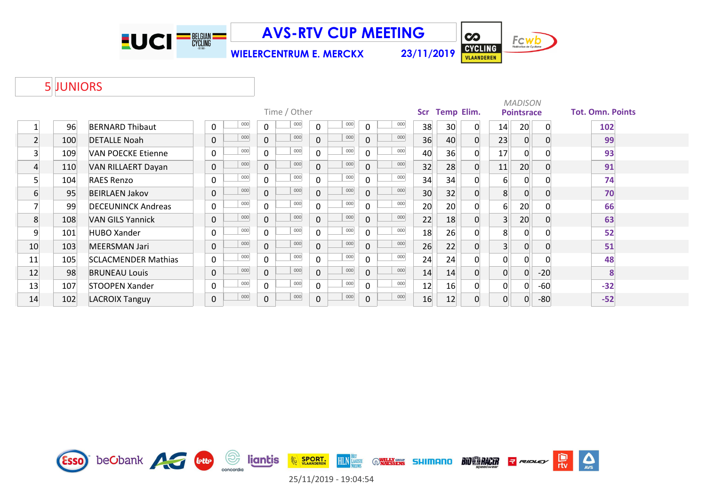

**WIELERCENTRUM E. MERCKX 23/11/2019**



### 5 JUNIORS

|    |     |                            |             |     |                |              |                | <b>MADISON</b><br><b>Pointsrace</b> |          |     |     |    |                   |                |                |          |                         |  |
|----|-----|----------------------------|-------------|-----|----------------|--------------|----------------|-------------------------------------|----------|-----|-----|----|-------------------|----------------|----------------|----------|-------------------------|--|
|    |     |                            |             |     |                | Time / Other |                |                                     |          |     | Scr |    | <b>Temp Elim.</b> |                |                |          | <b>Tot. Omn. Points</b> |  |
|    | 96  | <b>BERNARD Thibaut</b>     | 0           | 000 | 0              | 000          | 0              | 000                                 | $\Omega$ | 000 | 38  | 30 | 0                 | 14             | 20             | $\Omega$ | 102                     |  |
| 2  | 100 | <b>DETALLE Noah</b>        | $\mathbf 0$ | 000 | $\overline{0}$ | 000          | 0              | 000                                 | $\Omega$ | 000 | 36  | 40 | 0                 | 23             | 0              |          | 99                      |  |
| 3  | 109 | <b>VAN POECKE Etienne</b>  | 0           | 000 | 0              | 000          | 0              | 000                                 | 0        | 000 | 40  | 36 |                   | 17             | 0              |          | 93                      |  |
| 4  | 110 | VAN RILLAERT Dayan         | $\mathbf 0$ | 000 | $\mathbf 0$    | 000          | $\overline{0}$ | 000                                 | $\Omega$ | 000 | 32  | 28 | 0                 | 11             | 20             |          | 91                      |  |
| 5  | 104 | <b>RAES Renzo</b>          | 0           | 000 | 0              | 000          | 0              | 000                                 | 0        | 000 | 34  | 34 | 0                 | 6 <sup>1</sup> | 0              |          | 74                      |  |
| 6  | 95  | <b>BEIRLAEN Jakov</b>      | $\mathbf 0$ | 000 | $\mathbf 0$    | 000          | 0              | 000                                 | $\Omega$ | 000 | 30  | 32 | 0                 | 8              | $\overline{0}$ |          | 70                      |  |
|    | 99  | <b>DECEUNINCK Andreas</b>  | 0           | 000 | 0              | 000          | 0              | 000                                 | $\Omega$ | 000 | 20  | 20 | 0                 | 6              | 20             |          | 66                      |  |
| 8  | 108 | <b>VAN GILS Yannick</b>    | $\mathbf 0$ | 000 | 0              | 000          | 0              | 000                                 | $\Omega$ | 000 | 22  | 18 | 0                 | $\overline{3}$ | 20             |          | 63                      |  |
| 9  | 101 | <b>HUBO Xander</b>         | 0           | 000 | 0              | 000          | 0              | 000                                 | $\Omega$ | 000 | 18  | 26 |                   | 8              | $\Omega$       |          | 52                      |  |
| 10 | 103 | MEERSMAN Jari              | $\mathbf 0$ | 000 | 0              | 000          | 0              | 000                                 | $\Omega$ | 000 | 26  | 22 | 0                 | 3 <sup>1</sup> | 0              |          | 51                      |  |
| 11 | 105 | <b>SCLACMENDER Mathias</b> | 0           | 000 | 0              | 000          | 0              | 000                                 | 0        | 000 | 24  | 24 |                   | 0              | 0              |          | 48                      |  |
| 12 | 98  | <b>BRUNEAU Louis</b>       | $\mathbf 0$ | 000 | $\mathbf{O}$   | 000          | $\mathbf{0}$   | 000                                 | $\Omega$ | 000 | 14  | 14 | 0                 | 0              | $\overline{0}$ | $-20$    |                         |  |
| 13 | 107 | <b>STOOPEN Xander</b>      | 0           | 000 | 0              | 000          | 0              | 000                                 | 0        | 000 | 12  | 16 |                   | 0              | 0              | -60      | $-32$                   |  |
| 14 | 102 | <b>LACROIX Tanguy</b>      | $\pmb{0}$   | 000 | $\pmb{0}$      | 000          | 0              | 000                                 | 0        | 000 | 16  | 12 | 0                 | 0              | 0              | $-80$    | $-52$                   |  |

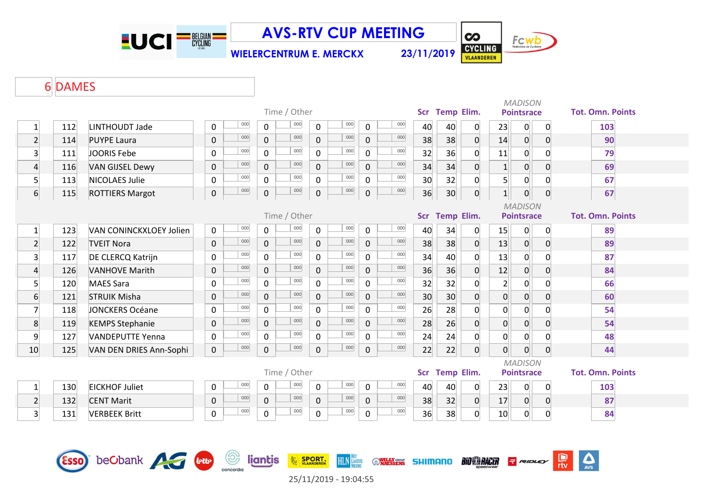

**WIELERCENTRUM E. MERCKX 23/11/2019**



 $| \boldsymbol{\infty} |$ 

### DAMES

|                         |        | Scr Temp Elim.                 |                                |                     |                     | <b>MADISON</b><br><b>Pointsrace</b> |                    | <b>Tot. Omn. Points</b> |                            |    |                 |                     |                |                                     |                     |                         |
|-------------------------|--------|--------------------------------|--------------------------------|---------------------|---------------------|-------------------------------------|--------------------|-------------------------|----------------------------|----|-----------------|---------------------|----------------|-------------------------------------|---------------------|-------------------------|
| $\mathbf{1}$            | 112    | LINTHOUDT Jade                 | 000<br>0                       | 0                   | Time / Other<br>000 | $\pmb{0}$                           | 000                | $\mathbf 0$             | 000                        | 40 | 40              | 0                   | 23             | 0                                   | $\mathbf 0$         | 103                     |
| $\overline{2}$          | 114    | <b>PUYPE Laura</b>             | 000<br>$\mathbf 0$             | $\pmb{0}$           | 000                 | $\pmb{0}$                           | 000                | 0                       | 000                        | 38 | 38              | $\overline{0}$      | 14             | $\boldsymbol{0}$                    | $\mathbf 0$         | 90                      |
| $\overline{3}$          | 111    | JOORIS Febe                    | 000<br>$\mathbf 0$             | $\mathbf 0$         | 000                 | $\mathbf 0$                         | 000                | $\mathbf 0$             | 000                        | 32 | 36              | 0                   | 11             | 0                                   | 0                   | 79                      |
| $\overline{4}$          | 116    | <b>VAN GIJSEL Dewy</b>         | 000<br>$\mathbf 0$             | $\overline{0}$      | 000                 | $\mathbf 0$                         | 000                | $\overline{0}$          | 000                        | 34 | 34              | $\overline{0}$      | $\vert$ 1      | $\boldsymbol{0}$                    | $\mathbf 0$         | 69                      |
| $5\overline{)}$         | 113    | <b>NICOLAES Julie</b>          | 000<br>$\pmb{0}$               | $\mathbf 0$         | 000                 | 0                                   | 000                | $\mathbf 0$             | 000                        | 30 | 32              | 0                   | 5 <sup>1</sup> | $\overline{0}$                      | 0                   | 67                      |
| $6 \overline{6}$        | 115    | <b>ROTTIERS Margot</b>         | 000<br>$\pmb{0}$               | $\mathsf 0$         | 000                 | $\mathbf 0$                         | 000                | 0                       | 000                        | 36 | 30 <sup>°</sup> | 0                   | $1\vert$       | $\boldsymbol{0}$                    | 0                   | 67                      |
|                         |        |                                |                                |                     | Time / Other        |                                     |                    |                         |                            |    | Scr Temp Elim.  |                     |                | <b>MADISON</b><br><b>Pointsrace</b> |                     | <b>Tot. Omn. Points</b> |
| $\mathbf{1}$            | 123    | <b>VAN CONINCKXLOEY Jolien</b> | 000<br>$\mathbf 0$             | $\mathbf 0$         | 000                 | 0                                   | 000                | 0                       | 000                        | 40 | 34              | 0                   | 15             | 0                                   | 0                   | 89                      |
| $\overline{2}$          | 122    | <b>TVEIT Nora</b>              | 000<br>$\pmb{0}$               | $\mathbf 0$         | 000                 | $\pmb{0}$                           | 000                | 0                       | 000                        | 38 | 38              | $\mathbf 0$         | 13             | $\boldsymbol{0}$                    | $\mathbf 0$         | 89                      |
| $\overline{3}$          | 117    | <b>DE CLERCQ Katrijn</b>       | 000<br>0                       | $\mathbf 0$         | 000                 | $\mathsf{O}$                        | 000                | $\mathbf 0$             | 000                        | 34 | 40              | 0                   | 13             | $\mathbf 0$                         | 0                   | 87                      |
| $\overline{4}$          | 126    | <b>VANHOVE Marith</b>          | 000<br>$\mathbf 0$             | $\mathbf 0$         | 000                 | $\mathbf 0$                         | 000                | $\mathbf 0$             | 000                        | 36 | 36              | $\overline{0}$      | 12             | $\pmb{0}$                           | $\overline{0}$      | 84                      |
| $5\overline{)}$         | 120    | <b>MAES Sara</b>               | 000<br>0                       | $\mathbf 0$         | 000                 | $\mathbf 0$                         | 000                | $\mathbf 0$             | 000                        | 32 | 32              | 0                   | $\overline{2}$ | 0                                   | 0                   | 66                      |
| $\sqrt{6}$              | 121    | <b>STRUIK Misha</b>            | 000<br>$\mathbf 0$             | $\mathsf{O}\xspace$ | 000                 | $\pmb{0}$                           | 000                | $\mathbf 0$             | 000                        | 30 | 30              | 0                   | $\overline{0}$ | $\mathbf 0$                         | $\mathbf 0$         | 60                      |
| $\overline{7}$          | 118    | <b>JONCKERS Océane</b>         | 000<br>0                       | $\mathbf 0$         | 000                 | 0                                   | 000                | $\mathbf 0$             | 000                        | 26 | 28              | 0                   | $\overline{0}$ | $\mathbf 0$                         | 0                   | 54                      |
| 8                       | 119    | <b>KEMPS Stephanie</b>         | 000<br>$\pmb{0}$               | 0                   | 000                 | $\pmb{0}$                           | 000                | 0                       | 000                        | 28 | 26              | 0                   | $\overline{0}$ | $\boldsymbol{0}$                    | $\mathbf 0$         | 54                      |
| 9                       | 127    | <b>VANDEPUTTE Yenna</b>        | 000<br>$\pmb{0}$               | $\mathbf 0$         | 000                 | $\mathbf 0$                         | 000                | $\Omega$                | 000                        | 24 | 24              | $\overline{0}$      | $\mathbf 0$    | $\mathbf 0$                         | $\overline{0}$      | 48                      |
| 10                      | 125    | VAN DEN DRIES Ann-Sophi        | 000<br>$\mathsf{O}\xspace$     | 0                   | 000                 | $\mathbf 0$                         | 000                | 0                       | 000                        | 22 | 22              | $\overline{0}$      | $\overline{0}$ | $\mathbf 0$                         | $\overline{0}$      | 44                      |
|                         |        |                                |                                |                     | Time / Other        |                                     |                    |                         |                            |    | Scr Temp Elim.  |                     |                | <b>MADISON</b><br><b>Pointsrace</b> |                     | <b>Tot. Omn. Points</b> |
| $\mathbf{1}$            | 130    | <b>EICKHOF Juliet</b>          | 000<br>0                       | $\mathbf 0$         | 000                 | $\pmb{0}$                           | 000                | $\mathbf 0$             | 000                        | 40 | 40              | 0                   | 23             | 0                                   | 0                   | 103                     |
| $\overline{2}$          | 132    | <b>CENT Marit</b>              | 000<br>$\pmb{0}$               | $\mathbf 0$         | 000                 | $\pmb{0}$                           | 000                | $\mathbf 0$             | 000                        | 38 | 32              | $\overline{0}$      | 17             | $\overline{0}$                      | $\mathbf 0$         | 87                      |
| $\overline{\mathbf{3}}$ | 131    | <b>VERBEEK Britt</b>           | 000<br>$\pmb{0}$               | $\mathbf 0$         | 000                 | $\pmb{0}$                           | 000                | $\mathsf{O}$            | 000                        | 36 | 38              | 0                   | 10             | $\overline{0}$                      | $\mathsf{O}\xspace$ | 84                      |
|                         | (ESSO) | beCbank                        | $\circledcirc$<br><b>lette</b> | liantis             |                     | <b>EXAMPLE SPORT.</b>               | <b>HLN</b> LAATSTE |                         | <b>WILLY GROUP</b> SHIMANO |    |                 | <b>BIO SA RACER</b> |                | <b>RIDLEY</b>                       |                     | D<br>$\Delta$<br>rtv    |

concordia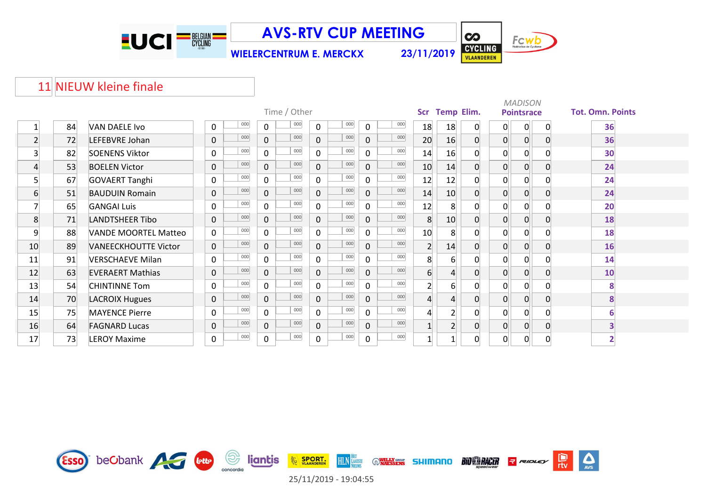

**WIELERCENTRUM E. MERCKX 23/11/2019**



**CO** 

Fcwb

#### 11 NIEUW kleine finale

|                |    |                             |                     |     | <b>MADISON</b><br><b>Pointsrace</b><br>Scr Temp Elim. |              |                |     |                |     |                  |                 |                |                |                |             |                         |
|----------------|----|-----------------------------|---------------------|-----|-------------------------------------------------------|--------------|----------------|-----|----------------|-----|------------------|-----------------|----------------|----------------|----------------|-------------|-------------------------|
|                |    |                             |                     |     |                                                       | Time / Other |                |     |                |     |                  |                 |                |                |                |             | <b>Tot. Omn. Points</b> |
|                | 84 | <b>VAN DAELE Ivo</b>        | $\mathbf 0$         | 000 | $\mathbf{0}$                                          | $000\,$      | 0              | 000 | $\Omega$       | 000 | 18               | 18              | 0              | 0              | $\overline{0}$ | 0           | 36                      |
| 2 <sup>1</sup> | 72 | LEFEBVRE Johan              | $\mathsf{O}\xspace$ | 000 | $\overline{0}$                                        | 000          | $\overline{0}$ | 000 | $\mathbf 0$    | 000 | 20               | 16              | $\overline{0}$ | $\overline{0}$ | $\overline{0}$ | $\mathbf 0$ | 36                      |
| 3 <sup>1</sup> | 82 | <b>SOENENS Viktor</b>       | 0                   | 000 | $\mathbf 0$                                           | 000          | $\mathsf{O}$   | 000 | 0              | 000 | 14               | 16              | 0              | $\overline{0}$ | 0              | 0           | 30                      |
| $\overline{4}$ | 53 | <b>BOELEN Victor</b>        | $\mathbf 0$         | 000 | 0                                                     | 000          | $\overline{0}$ | 000 | $\Omega$       | 000 | 10               | 14              | 0              | $\overline{0}$ | $\overline{0}$ | 0           | 24                      |
| 5 <sup>1</sup> | 67 | <b>GOVAERT Tanghi</b>       | 0                   | 000 | 0                                                     | 000          | 0              | 000 | $\Omega$       | 000 | 12               | 12              | 0              | 0              | 0              | 0           | 24                      |
| 6              | 51 | <b>BAUDUIN Romain</b>       | $\mathsf{O}\xspace$ | 000 | $\mathbf 0$                                           | 000          | $\overline{0}$ | 000 | $\overline{0}$ | 000 | 14               | 10 <sup>1</sup> | 0              | $\overline{0}$ | $\overline{0}$ | 0           | 24                      |
|                | 65 | <b>GANGAI Luis</b>          | $\mathbf 0$         | 000 | $\Omega$                                              | 000          | $\overline{0}$ | 000 | $\Omega$       | 000 | 12               | 8               | $\Omega$       | $\mathbf 0$    | 0              | 0           | 20                      |
| 8              | 71 | <b>LANDTSHEER Tibo</b>      | $\mathbf 0$         | 000 | $\Omega$                                              | 000          | $\overline{0}$ | 000 | $\Omega$       | 000 | 8                | 10 <sup>1</sup> | $\overline{0}$ | $\overline{0}$ | $\mathbf{0}$   | 0           | 18                      |
| 9              | 88 | <b>VANDE MOORTEL Matteo</b> | $\mathbf 0$         | 000 | $\overline{0}$                                        | 000          | $\mathsf{O}$   | 000 | $\Omega$       | 000 | 10               | 8               | 0              | $\overline{0}$ | 0              | 0           | 18                      |
| 10             | 89 | <b>VANEECKHOUTTE Victor</b> | $\mathbf 0$         | 000 | $\overline{0}$                                        | 000          | $\overline{0}$ | 000 | $\overline{0}$ | 000 | $\overline{2}$   | 14              | $\mathbf{0}$   | $\overline{0}$ | $\Omega$       | 0           | 16                      |
| 11             | 91 | <b>VERSCHAEVE Milan</b>     | $\mathbf 0$         | 000 | $\mathbf 0$                                           | 000          | $\mathsf{O}$   | 000 | $\Omega$       | 000 | 8                | 6               | $\Omega$       | $\overline{0}$ | $\Omega$       | 0           | 14                      |
| 12             | 63 | <b>EVERAERT Mathias</b>     | $\mathbf 0$         | 000 | 0                                                     | 000          | $\mathbf 0$    | 000 | $\Omega$       | 000 | 6                |                 | $\overline{0}$ | $\overline{0}$ | 0              | 0           | 10                      |
| 13             | 54 | <b>CHINTINNE Tom</b>        | $\mathbf 0$         | 000 | 0                                                     | 000          | $\overline{0}$ | 000 | $\Omega$       | 000 | $2 \overline{ }$ | 6               | 0              | $\overline{0}$ | 0              | 0           | 8                       |
| 14             | 70 | <b>LACROIX Hugues</b>       | $\mathsf{O}\xspace$ | 000 | $\overline{0}$                                        | 000          | $\mathbf 0$    | 000 | $\mathbf{0}$   | 000 | $\overline{4}$   | 4               | $\overline{0}$ | $\overline{0}$ | $\Omega$       | $\mathbf 0$ | 8                       |
| 15             | 75 | <b>MAYENCE Pierre</b>       | $\mathsf{O}$        | 000 | $\mathbf{0}$                                          | 000          | 0              | 000 | $\Omega$       | 000 | $\overline{4}$   | $\overline{2}$  | $\Omega$       | 0              | 0              | 0           |                         |
| 16             | 64 | <b>FAGNARD Lucas</b>        | $\mathbf 0$         | 000 | $\overline{0}$                                        | 000          | $\mathbf 0$    | 000 | 0              | 000 |                  | $\overline{2}$  | 0              | $\overline{0}$ | 0              | $\mathbf 0$ |                         |
| 17             | 73 | <b>LEROY Maxime</b>         | $\mathsf{O}$        | 000 | $\mathbf 0$                                           | 000          | $\mathsf{O}$   | 000 | 0              | 000 |                  |                 | 0              | 0              | 0              | $\mathbf 0$ |                         |

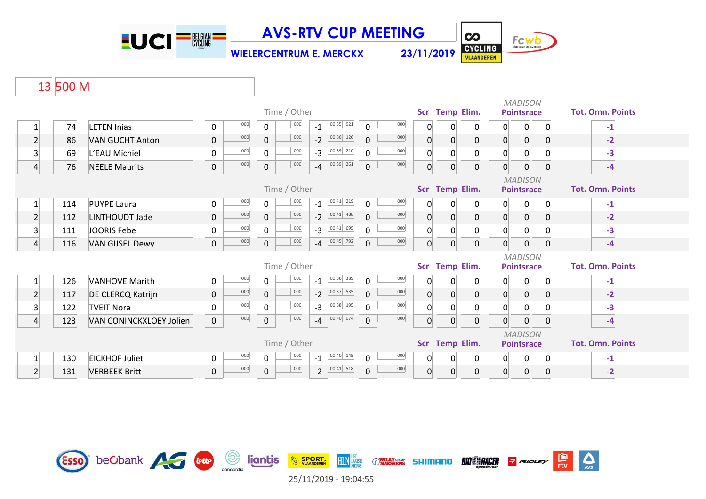

**CO** Fcwb CYCLING **WIELERCENTRUM E. MERCKX 23/11/2019**

 $\sum_{\text{AVS}}$ 

e<br>rtv

**R** RIDLEY

**BIO RACER** 

**WILLY GROUP SHIMANO** 

# 13 500 M

|                         |     |                         |           |              |              |                |      |             |                     |         |                |                         |                | <b>MADISON</b> |                                     |          |   |                         |
|-------------------------|-----|-------------------------|-----------|--------------|--------------|----------------|------|-------------|---------------------|---------|----------------|-------------------------|----------------|----------------|-------------------------------------|----------|---|-------------------------|
|                         |     |                         |           | Time / Other |              | Scr Temp Elim. |      |             | <b>Pointsrace</b>   |         |                | <b>Tot. Omn. Points</b> |                |                |                                     |          |   |                         |
| $\mathbf{1}$            | 74  | <b>LETEN Inias</b>      | 0         | 000          | 0            | 000            | $-1$ | $00:35$ 921 | $\mathbf 0$         | 000     | 0              | 0                       | 0              | 0              | 0                                   | 0        |   | $-1$                    |
| $\overline{2}$          | 86  | <b>VAN GUCHT Anton</b>  | $\pmb{0}$ | 000          | $\mathbf 0$  | 000            | $-2$ | $00:36$ 126 | $\mathbf 0$         | 000     | 0              | 0                       | $\mathbf 0$    | 0              | $\overline{0}$                      |          | 0 | $-2$                    |
| $\overline{3}$          | 69  | L'EAU Michiel           | 0         | 000          | $\mathbf 0$  | 000            | $-3$ | $00:39$ 210 | $\mathbf 0$         | 000     | 0              | $\Omega$                | 0              | $\overline{0}$ | 0                                   | 0        |   | $-3$                    |
| 4                       | 76  | <b>NEELE Maurits</b>    | $\pmb{0}$ | 000          | $\pmb{0}$    | 000            | $-4$ | $00:39$ 261 | $\pmb{0}$           | $000\,$ | $\overline{0}$ | 0                       | $\overline{0}$ | $\overline{0}$ | $\overline{0}$                      |          | 0 | $-4$                    |
|                         |     |                         |           |              |              | Time / Other   |      |             |                     |         |                | Scr Temp Elim.          |                |                | <b>MADISON</b><br><b>Pointsrace</b> |          |   | <b>Tot. Omn. Points</b> |
|                         | 114 | <b>PUYPE Laura</b>      | 0         | 000          | 0            | 000            | $-1$ | $00:41$ 219 | 0                   | 000     | 0              | 0                       | 0              | 0              | 0                                   |          | 0 | -1                      |
| $\overline{2}$          | 112 | LINTHOUDT Jade          | $\pmb{0}$ | 000          | $\mathbf 0$  | 000            | $-2$ | $00:41$ 488 | $\mathbf{0}$        | 000     | $\overline{0}$ | 0                       | $\mathbf 0$    | $\overline{0}$ | 0 <sup>1</sup>                      |          | 0 | $-2$                    |
| $\overline{\mathbf{3}}$ | 111 | JOORIS Febe             | $\pmb{0}$ | 000          | $\mathbf 0$  | 000            | $-3$ | $00:41$ 695 | $\mathbf 0$         | 000     | $\overline{0}$ | $\Omega$                | $\Omega$       | 0              | 0                                   |          |   | $-3$                    |
| $\overline{4}$          | 116 | <b>VAN GIJSEL Dewy</b>  | $\pmb{0}$ | 000          | $\mathbf 0$  | 000            | $-4$ | 00:45 792   | $\mathsf{O}\xspace$ | 000     | $\Omega$       | 0                       | $\mathbf{0}$   | $\overline{0}$ | $\overline{0}$                      | 0        |   | $-4$                    |
|                         |     |                         |           |              |              | Time / Other   |      |             |                     |         | Scr            | Temp Elim.              |                |                | <b>MADISON</b><br><b>Pointsrace</b> |          |   | <b>Tot. Omn. Points</b> |
|                         |     |                         |           | 000          |              | 000            |      | 00:36 389   |                     | 000     |                |                         |                |                |                                     |          |   |                         |
|                         | 126 | <b>VANHOVE Marith</b>   | 0         |              | $\mathbf 0$  |                | $-1$ |             | $\pmb{0}$           |         | 0              | 0                       | 0              | 0              | $\mathbf 0$                         | $\Omega$ |   | $-1$                    |
| $\overline{2}$          | 117 | DE CLERCQ Katrijn       | $\pmb{0}$ | 000          | $\mathbf 0$  | 000            | $-2$ | $00:37$ 535 | $\mathbf 0$         | 000     | $\overline{0}$ | 0                       | $\mathbf 0$    | 0              | $\overline{0}$                      |          | 0 | $-2$                    |
| 3                       | 122 | <b>TVEIT Nora</b>       | 0         | 000          | $\mathbf 0$  | 000            | $-3$ | $00:38$ 195 | $\mathbf 0$         | 000     | 0              | 0                       | $\mathbf{0}$   | 0              | 0                                   |          |   | $-3$                    |
| $\overline{4}$          | 123 | VAN CONINCKXLOEY Jolien | $\pmb{0}$ | 000          | $\mathbf 0$  | 000            | $-4$ | $00:40$ 074 | $\pmb{0}$           | 000     | $\overline{0}$ | 0                       | $\mathbf 0$    | $\overline{0}$ | $\overline{0}$                      | 0        |   | $-4$                    |
|                         |     |                         |           |              |              |                |      |             |                     |         |                |                         |                |                | <b>MADISON</b>                      |          |   |                         |
|                         |     |                         |           |              |              | Time / Other   |      |             |                     |         |                | Scr Temp Elim.          |                |                | <b>Pointsrace</b>                   |          |   | <b>Tot. Omn. Points</b> |
| $\mathbf{1}$            | 130 | <b>EICKHOF Juliet</b>   | 0         | 000          | $\mathsf{O}$ | 000            | $-1$ | $00:40$ 145 | $\mathsf{O}$        | 000     | 0              | 0                       | 0              | 0              | 0                                   | 0        |   | -1                      |
| $\overline{2}$          | 131 | <b>VERBEEK Britt</b>    | $\pmb{0}$ | 000          | $\mathbf 0$  | 000            | $-2$ | $00:41$ 518 | $\mathbf 0$         | 000     | $\overline{0}$ | 0                       | $\mathbf{0}$   | $\overline{0}$ | 0                                   |          | 0 | $-2$                    |